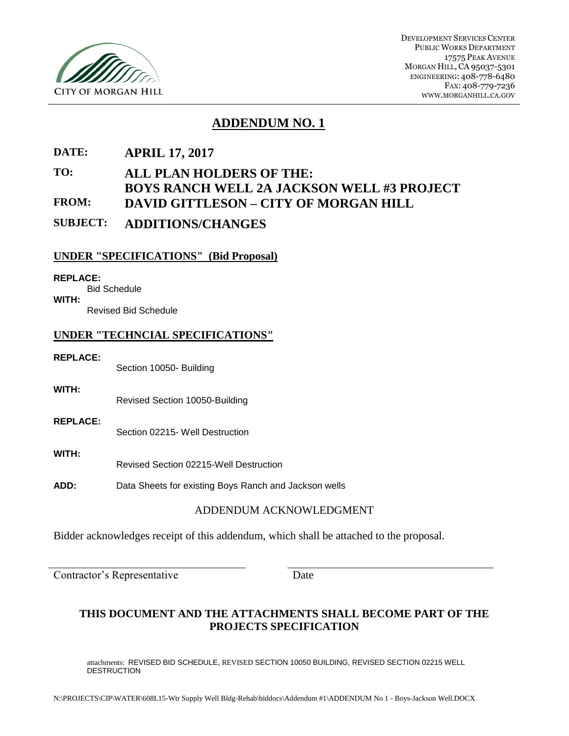

DEVELOPMENT SERVICES CENTER PUBLIC WORKS DEPARTMENT 17575 PEAK AVENUE MORGAN HILL, CA 95037-5301 ENGINEERING: 408-778-6480 FAX: 408-779-7236 WWW.MORGANHILL.CA.GOV

## **ADDENDUM NO. 1**

**DATE: APRIL 17, 2017**

## **TO: ALL PLAN HOLDERS OF THE: BOYS RANCH WELL 2A JACKSON WELL #3 PROJECT FROM: DAVID GITTLESON – CITY OF MORGAN HILL**

**SUBJECT: ADDITIONS/CHANGES**

## **UNDER "SPECIFICATIONS" (Bid Proposal)**

#### **REPLACE:**

Bid Schedule **WITH:**

Revised Bid Schedule

#### **UNDER "TECHNCIAL SPECIFICATIONS"**

#### **REPLACE:**

Section 10050- Building

**WITH:**

Revised Section 10050-Building

**REPLACE:** Section 02215- Well Destruction

#### **WITH:**

Revised Section 02215-Well Destruction

**ADD:** Data Sheets for existing Boys Ranch and Jackson wells

## ADDENDUM ACKNOWLEDGMENT

Bidder acknowledges receipt of this addendum, which shall be attached to the proposal.

Contractor's Representative Date

## **THIS DOCUMENT AND THE ATTACHMENTS SHALL BECOME PART OF THE PROJECTS SPECIFICATION**

attachments: REVISED BID SCHEDULE, REVISED SECTION 10050 BUILDING, REVISED SECTION 02215 WELL DESTRUCTION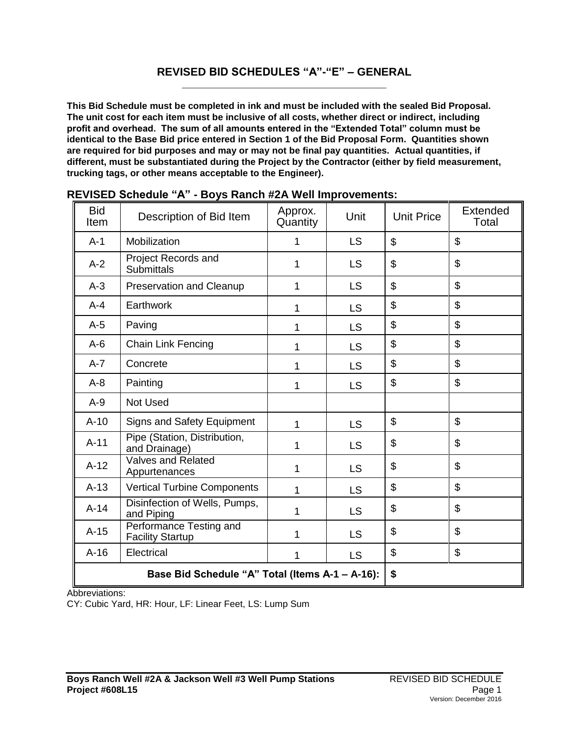#### **REVISED BID SCHEDULES "A"-"E" – GENERAL \_\_\_\_\_\_\_\_\_\_\_\_\_\_\_\_\_\_\_\_\_\_\_\_\_\_\_\_\_\_\_\_\_**

**This Bid Schedule must be completed in ink and must be included with the sealed Bid Proposal. The unit cost for each item must be inclusive of all costs, whether direct or indirect, including profit and overhead. The sum of all amounts entered in the "Extended Total" column must be identical to the Base Bid price entered in Section 1 of the Bid Proposal Form. Quantities shown are required for bid purposes and may or may not be final pay quantities. Actual quantities, if different, must be substantiated during the Project by the Contractor (either by field measurement, trucking tags, or other means acceptable to the Engineer).**

| <b>Bid</b><br>Item | Description of Bid Item                            | Approx.<br>Quantity | Unit      | <b>Unit Price</b>         | Extended<br>Total |
|--------------------|----------------------------------------------------|---------------------|-----------|---------------------------|-------------------|
| $A-1$              | Mobilization                                       | 1                   | <b>LS</b> | \$                        | \$                |
| $A-2$              | Project Records and<br><b>Submittals</b>           | 1                   | <b>LS</b> | $\mathfrak{S}$            | $\mathfrak{S}$    |
| $A-3$              | <b>Preservation and Cleanup</b>                    | 1                   | <b>LS</b> | \$                        | \$                |
| $A - 4$            | Earthwork                                          | 1                   | <b>LS</b> | $\boldsymbol{\mathsf{S}}$ | $\mathfrak{S}$    |
| $A-5$              | Paving                                             | 1                   | <b>LS</b> | $\boldsymbol{\mathsf{S}}$ | \$                |
| $A-6$              | Chain Link Fencing                                 | 1                   | <b>LS</b> | $\mathfrak{S}$            | \$                |
| $A - 7$            | Concrete                                           | 1                   | <b>LS</b> | \$                        | \$                |
| $A-8$              | Painting                                           | 1                   | <b>LS</b> | \$                        | $\mathfrak{S}$    |
| $A-9$              | Not Used                                           |                     |           |                           |                   |
| $A-10$             | <b>Signs and Safety Equipment</b>                  | 1                   | <b>LS</b> | \$                        | \$                |
| $A-11$             | Pipe (Station, Distribution,<br>and Drainage)      | 1                   | <b>LS</b> | \$                        | \$                |
| $A-12$             | <b>Valves and Related</b><br>Appurtenances         | 1                   | <b>LS</b> | $\mathfrak{L}$            | \$                |
| $A-13$             | <b>Vertical Turbine Components</b>                 | 1                   | <b>LS</b> | \$                        | \$                |
| $A-14$             | Disinfection of Wells, Pumps,<br>and Piping        | 1                   | <b>LS</b> | \$                        | \$                |
| $A-15$             | Performance Testing and<br><b>Facility Startup</b> | 1                   | <b>LS</b> | \$                        | \$                |
| $A-16$             | Electrical                                         | 1                   | <b>LS</b> | \$                        | \$                |
|                    | Base Bid Schedule "A" Total (Items A-1 - A-16):    | \$                  |           |                           |                   |

Abbreviations:

CY: Cubic Yard, HR: Hour, LF: Linear Feet, LS: Lump Sum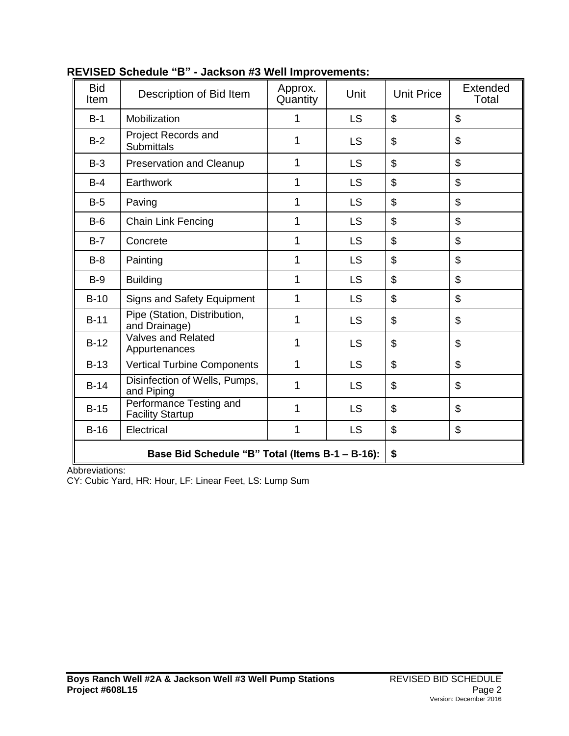| <b>Bid</b><br>Item | Description of Bid Item                            | Approx.<br>Quantity | Unit      | <b>Unit Price</b> | Extended<br>Total |
|--------------------|----------------------------------------------------|---------------------|-----------|-------------------|-------------------|
| $B-1$              | Mobilization                                       | 1                   | <b>LS</b> | \$                | \$                |
| $B-2$              | Project Records and<br><b>Submittals</b>           | 1                   | <b>LS</b> | \$                | \$                |
| $B-3$              | <b>Preservation and Cleanup</b>                    | 1                   | <b>LS</b> | \$                | \$                |
| $B-4$              | Earthwork                                          | 1                   | <b>LS</b> | \$                | \$                |
| $B-5$              | Paving                                             | 1                   | <b>LS</b> | \$                | \$                |
| $B-6$              | <b>Chain Link Fencing</b>                          | 1                   | <b>LS</b> | \$                | \$                |
| $B-7$              | Concrete                                           | 1                   | <b>LS</b> | \$                | \$                |
| $B-8$              | Painting                                           | 1                   | <b>LS</b> | \$                | \$                |
| $B-9$              | <b>Building</b>                                    | 1                   | <b>LS</b> | \$                | \$                |
| $B-10$             | <b>Signs and Safety Equipment</b>                  | 1                   | <b>LS</b> | \$                | \$                |
| $B-11$             | Pipe (Station, Distribution,<br>and Drainage)      | 1                   | <b>LS</b> | \$                | \$                |
| $B-12$             | Valves and Related<br>Appurtenances                | 1                   | <b>LS</b> | \$                | \$                |
| $B-13$             | <b>Vertical Turbine Components</b>                 | 1                   | <b>LS</b> | \$                | \$                |
| $B-14$             | Disinfection of Wells, Pumps,<br>and Piping        | 1                   | <b>LS</b> | \$                | \$                |
| $B-15$             | Performance Testing and<br><b>Facility Startup</b> | 1                   | <b>LS</b> | \$                | \$                |
| $B-16$             | Electrical                                         | 1                   | <b>LS</b> | \$                | \$                |
|                    | Base Bid Schedule "B" Total (Items B-1 - B-16):    | \$                  |           |                   |                   |

# **REVISED Schedule "B" - Jackson #3 Well Improvements:**

Abbreviations:

CY: Cubic Yard, HR: Hour, LF: Linear Feet, LS: Lump Sum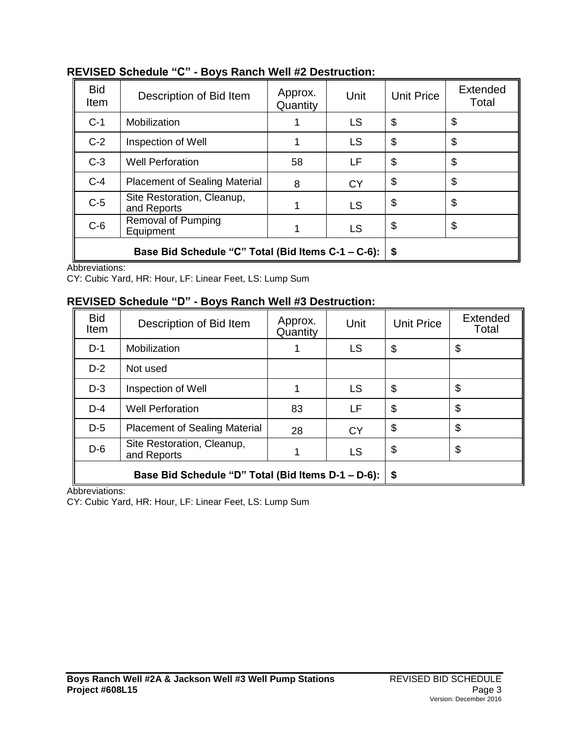| <b>Bid</b><br>Item | Description of Bid Item                            | Approx.<br>Quantity | Unit      | <b>Unit Price</b>         | Extended<br>Total |
|--------------------|----------------------------------------------------|---------------------|-----------|---------------------------|-------------------|
| $C-1$              | Mobilization                                       |                     | <b>LS</b> | $\mathfrak{S}$            | \$                |
| $C-2$              | Inspection of Well                                 |                     | <b>LS</b> | \$                        | \$                |
| $C-3$              | <b>Well Perforation</b>                            | 58                  | LF        | \$                        | \$                |
| $C-4$              | <b>Placement of Sealing Material</b>               | 8                   | <b>CY</b> | $\boldsymbol{\mathsf{S}}$ | \$                |
| $C-5$              | Site Restoration, Cleanup,<br>and Reports          |                     | <b>LS</b> | \$                        | \$                |
| $C-6$              | <b>Removal of Pumping</b><br>Equipment             |                     | <b>LS</b> | \$                        | \$                |
|                    | Base Bid Schedule "C" Total (Bid Items C-1 - C-6): | \$                  |           |                           |                   |

## **REVISED Schedule "C" - Boys Ranch Well #2 Destruction:**

Abbreviations:

CY: Cubic Yard, HR: Hour, LF: Linear Feet, LS: Lump Sum

## **REVISED Schedule "D" - Boys Ranch Well #3 Destruction:**

| <b>Bid</b><br>Item | Description of Bid Item                            | Approx.<br>Quantity | Unit      | <b>Unit Price</b>     | <b>Extended</b><br>Total |
|--------------------|----------------------------------------------------|---------------------|-----------|-----------------------|--------------------------|
| $D-1$              | Mobilization                                       |                     | <b>LS</b> | \$                    | \$                       |
| $D-2$              | Not used                                           |                     |           |                       |                          |
| $D-3$              | Inspection of Well                                 |                     | <b>LS</b> | \$                    | \$                       |
| $D-4$              | <b>Well Perforation</b>                            | 83                  | LF        | \$                    | \$                       |
| $D-5$              | <b>Placement of Sealing Material</b>               | 28                  | <b>CY</b> | \$                    | \$                       |
| $D-6$              | Site Restoration, Cleanup,<br>and Reports          |                     | <b>LS</b> | $\boldsymbol{\theta}$ | \$                       |
|                    | Base Bid Schedule "D" Total (Bid Items D-1 – D-6): | \$                  |           |                       |                          |

Abbreviations:

CY: Cubic Yard, HR: Hour, LF: Linear Feet, LS: Lump Sum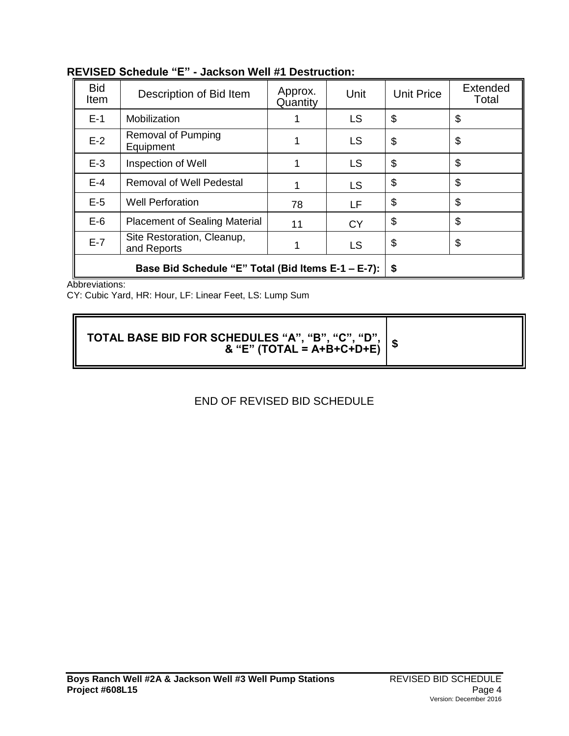| <b>Bid</b><br><b>Item</b> | Description of Bid Item                            | Approx.<br>Quantity | Unit      | <b>Unit Price</b> | <b>Extended</b><br>Total |
|---------------------------|----------------------------------------------------|---------------------|-----------|-------------------|--------------------------|
| $E-1$                     | Mobilization                                       |                     | <b>LS</b> | \$                | \$                       |
| $E-2$                     | Removal of Pumping<br>Equipment                    |                     | <b>LS</b> | \$                | \$                       |
| $E-3$                     | Inspection of Well                                 |                     | <b>LS</b> | \$                | \$                       |
| $E-4$                     | <b>Removal of Well Pedestal</b>                    |                     | <b>LS</b> | \$                | \$                       |
| $E-5$                     | <b>Well Perforation</b>                            | 78                  | LF        | \$                | \$                       |
| $E-6$                     | <b>Placement of Sealing Material</b>               | 11                  | <b>CY</b> | \$                | \$                       |
| $E-7$                     | Site Restoration, Cleanup,<br>and Reports          |                     | <b>LS</b> | \$                | \$                       |
|                           | Base Bid Schedule "E" Total (Bid Items E-1 – E-7): | \$                  |           |                   |                          |

# **REVISED Schedule "E" - Jackson Well #1 Destruction:**

Abbreviations:

CY: Cubic Yard, HR: Hour, LF: Linear Feet, LS: Lump Sum

**TOTAL BASE BID FOR SCHEDULES "A", "B", "C", "D", & "E" (TOTAL = A+B+C+D+E) \$**

# END OF REVISED BID SCHEDULE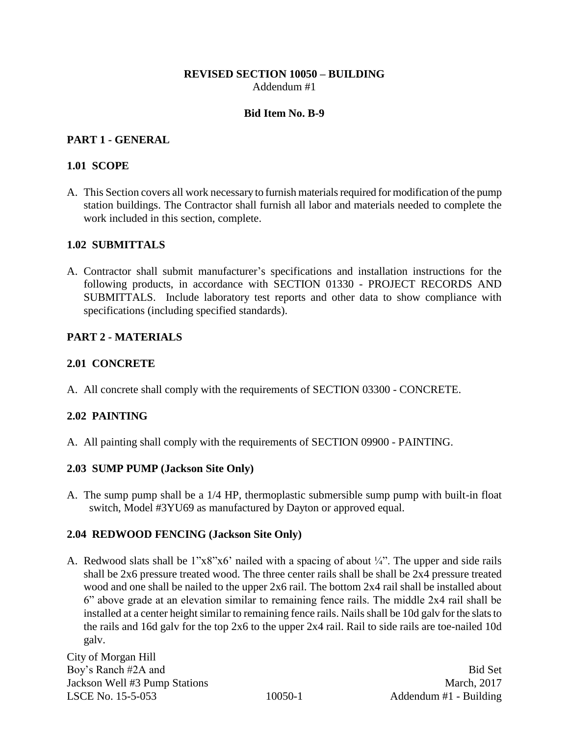## **REVISED SECTION 10050 – BUILDING** Addendum #1

#### **Bid Item No. B-9**

## **PART 1 - GENERAL**

## **1.01 SCOPE**

A. This Section covers all work necessary to furnish materials required for modification of the pump station buildings. The Contractor shall furnish all labor and materials needed to complete the work included in this section, complete.

## **1.02 SUBMITTALS**

A. Contractor shall submit manufacturer's specifications and installation instructions for the following products, in accordance with SECTION 01330 - PROJECT RECORDS AND SUBMITTALS. Include laboratory test reports and other data to show compliance with specifications (including specified standards).

## **PART 2 - MATERIALS**

## **2.01 CONCRETE**

A. All concrete shall comply with the requirements of SECTION 03300 - CONCRETE.

## **2.02 PAINTING**

A. All painting shall comply with the requirements of SECTION 09900 - PAINTING.

## **2.03 SUMP PUMP (Jackson Site Only)**

A. The sump pump shall be a 1/4 HP, thermoplastic submersible sump pump with built-in float switch, Model #3YU69 as manufactured by Dayton or approved equal.

## **2.04 REDWOOD FENCING (Jackson Site Only)**

A. Redwood slats shall be  $1"x8"x6'$  nailed with a spacing of about  $\frac{1}{4}$ . The upper and side rails shall be 2x6 pressure treated wood. The three center rails shall be shall be 2x4 pressure treated wood and one shall be nailed to the upper 2x6 rail. The bottom 2x4 rail shall be installed about 6" above grade at an elevation similar to remaining fence rails. The middle 2x4 rail shall be installed at a center height similar to remaining fence rails. Nails shall be 10d galv for the slats to the rails and 16d galv for the top 2x6 to the upper 2x4 rail. Rail to side rails are toe-nailed 10d galv.

City of Morgan Hill Boy's Ranch #2A and Bid Set Jackson Well #3 Pump Stations March, 2017 LSCE No. 15-5-053 10050-1 Addendum #1 - Building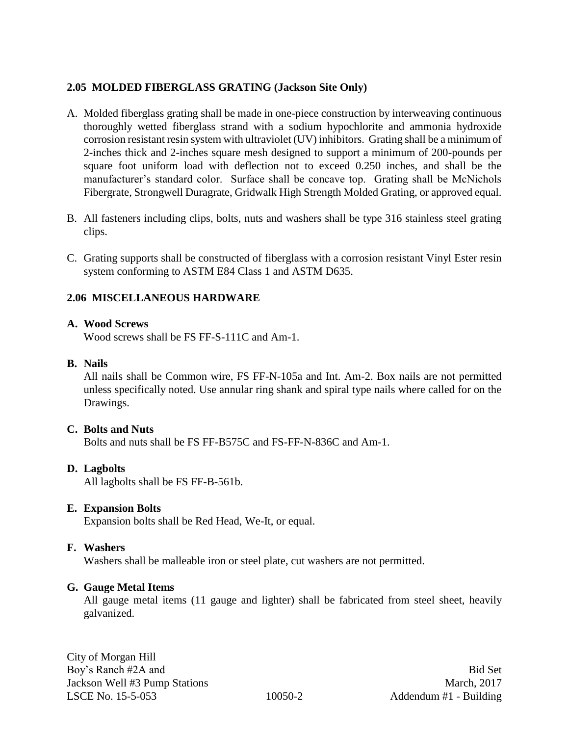## **2.05 MOLDED FIBERGLASS GRATING (Jackson Site Only)**

- A. Molded fiberglass grating shall be made in one-piece construction by interweaving continuous thoroughly wetted fiberglass strand with a sodium hypochlorite and ammonia hydroxide corrosion resistant resin system with ultraviolet (UV) inhibitors. Grating shall be a minimum of 2-inches thick and 2-inches square mesh designed to support a minimum of 200-pounds per square foot uniform load with deflection not to exceed 0.250 inches, and shall be the manufacturer's standard color. Surface shall be concave top. Grating shall be McNichols Fibergrate, Strongwell Duragrate, Gridwalk High Strength Molded Grating, or approved equal.
- B. All fasteners including clips, bolts, nuts and washers shall be type 316 stainless steel grating clips.
- C. Grating supports shall be constructed of fiberglass with a corrosion resistant Vinyl Ester resin system conforming to ASTM E84 Class 1 and ASTM D635.

## **2.06 MISCELLANEOUS HARDWARE**

## **A. Wood Screws**

Wood screws shall be FS FF-S-111C and Am-1.

## **B. Nails**

All nails shall be Common wire, FS FF-N-105a and Int. Am-2. Box nails are not permitted unless specifically noted. Use annular ring shank and spiral type nails where called for on the Drawings.

#### **C. Bolts and Nuts**

Bolts and nuts shall be FS FF-B575C and FS-FF-N-836C and Am-1.

## **D. Lagbolts**

All lagbolts shall be FS FF-B-561b.

## **E. Expansion Bolts**

Expansion bolts shall be Red Head, We-It, or equal.

#### **F. Washers**

Washers shall be malleable iron or steel plate, cut washers are not permitted.

#### **G. Gauge Metal Items**

All gauge metal items (11 gauge and lighter) shall be fabricated from steel sheet, heavily galvanized.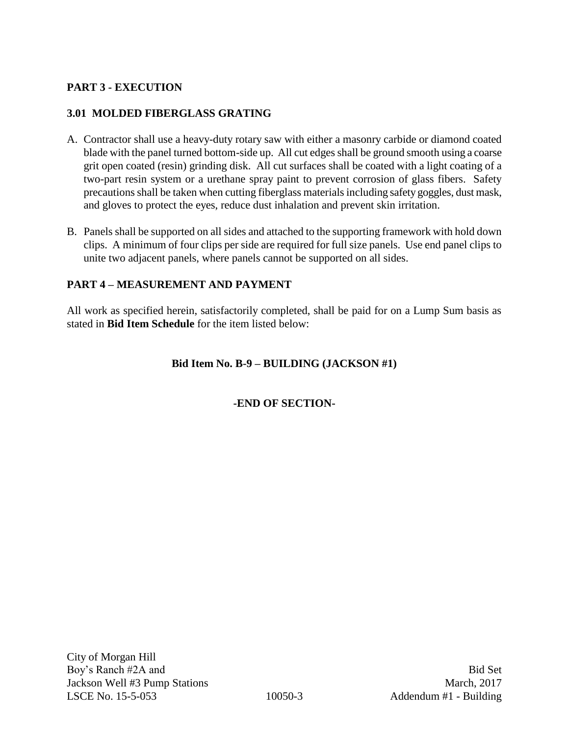## **PART 3 - EXECUTION**

## **3.01 MOLDED FIBERGLASS GRATING**

- A. Contractor shall use a heavy-duty rotary saw with either a masonry carbide or diamond coated blade with the panel turned bottom-side up. All cut edges shall be ground smooth using a coarse grit open coated (resin) grinding disk. All cut surfaces shall be coated with a light coating of a two-part resin system or a urethane spray paint to prevent corrosion of glass fibers. Safety precautions shall be taken when cutting fiberglass materials including safety goggles, dust mask, and gloves to protect the eyes, reduce dust inhalation and prevent skin irritation.
- B. Panels shall be supported on all sides and attached to the supporting framework with hold down clips. A minimum of four clips per side are required for full size panels. Use end panel clips to unite two adjacent panels, where panels cannot be supported on all sides.

## **PART 4 – MEASUREMENT AND PAYMENT**

All work as specified herein, satisfactorily completed, shall be paid for on a Lump Sum basis as stated in **Bid Item Schedule** for the item listed below:

## **Bid Item No. B-9 – BUILDING (JACKSON #1)**

## **-END OF SECTION-**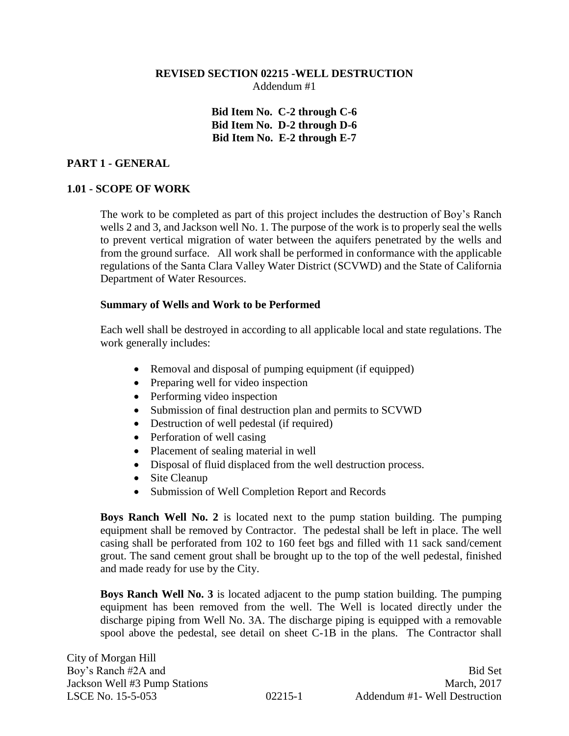#### **REVISED SECTION 02215 -WELL DESTRUCTION** Addendum #1

**Bid Item No. C-2 through C-6 Bid Item No. D-2 through D-6 Bid Item No. E-2 through E-7**

## **PART 1 - GENERAL**

## **1.01 - SCOPE OF WORK**

The work to be completed as part of this project includes the destruction of Boy's Ranch wells 2 and 3, and Jackson well No. 1. The purpose of the work is to properly seal the wells to prevent vertical migration of water between the aquifers penetrated by the wells and from the ground surface. All work shall be performed in conformance with the applicable regulations of the Santa Clara Valley Water District (SCVWD) and the State of California Department of Water Resources.

#### **Summary of Wells and Work to be Performed**

Each well shall be destroyed in according to all applicable local and state regulations. The work generally includes:

- Removal and disposal of pumping equipment (if equipped)
- Preparing well for video inspection
- Performing video inspection
- Submission of final destruction plan and permits to SCVWD
- Destruction of well pedestal (if required)
- Perforation of well casing
- Placement of sealing material in well
- Disposal of fluid displaced from the well destruction process.
- Site Cleanup
- Submission of Well Completion Report and Records

**Boys Ranch Well No. 2** is located next to the pump station building. The pumping equipment shall be removed by Contractor. The pedestal shall be left in place. The well casing shall be perforated from 102 to 160 feet bgs and filled with 11 sack sand/cement grout. The sand cement grout shall be brought up to the top of the well pedestal, finished and made ready for use by the City.

**Boys Ranch Well No. 3** is located adjacent to the pump station building. The pumping equipment has been removed from the well. The Well is located directly under the discharge piping from Well No. 3A. The discharge piping is equipped with a removable spool above the pedestal, see detail on sheet C-1B in the plans. The Contractor shall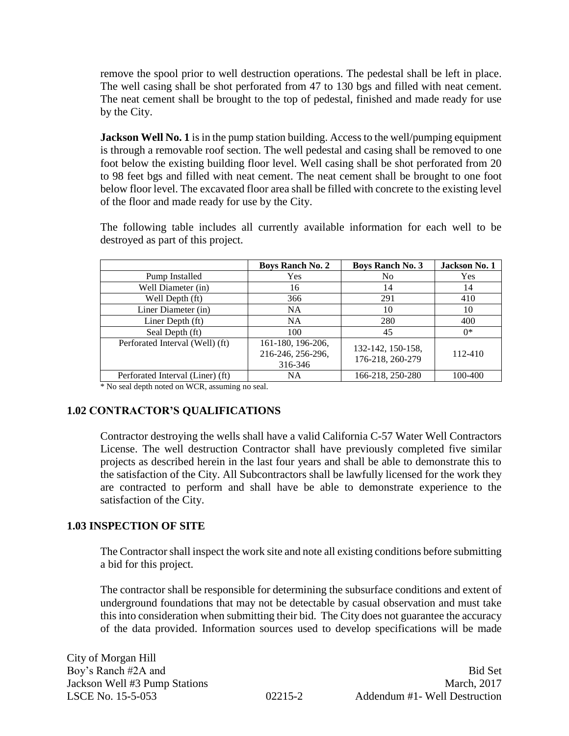remove the spool prior to well destruction operations. The pedestal shall be left in place. The well casing shall be shot perforated from 47 to 130 bgs and filled with neat cement. The neat cement shall be brought to the top of pedestal, finished and made ready for use by the City.

**Jackson Well No. 1** is in the pump station building. Access to the well/pumping equipment is through a removable roof section. The well pedestal and casing shall be removed to one foot below the existing building floor level. Well casing shall be shot perforated from 20 to 98 feet bgs and filled with neat cement. The neat cement shall be brought to one foot below floor level. The excavated floor area shall be filled with concrete to the existing level of the floor and made ready for use by the City.

The following table includes all currently available information for each well to be destroyed as part of this project.

|                                  | <b>Boys Ranch No. 2</b>                           | <b>Boys Ranch No. 3</b>               | Jackson No. 1 |
|----------------------------------|---------------------------------------------------|---------------------------------------|---------------|
| Pump Installed                   | Yes                                               | N <sub>0</sub>                        | Yes           |
| Well Diameter (in)               | 16                                                | 14                                    | 14            |
| Well Depth (ft)                  | 366                                               | 291                                   | 410           |
| Liner Diameter (in)              | NA.                                               | 10                                    | 10            |
| Liner Depth (ft)                 | <b>NA</b>                                         | 280                                   | 400           |
| Seal Depth (ft)                  | 100                                               | 45                                    | $0^*$         |
| Perforated Interval (Well) (ft)  | 161-180, 196-206,<br>216-246, 256-296,<br>316-346 | 132-142, 150-158,<br>176-218, 260-279 | 112-410       |
| Perforated Interval (Liner) (ft) | <b>NA</b>                                         | 166-218, 250-280                      | 100-400       |

\* No seal depth noted on WCR, assuming no seal.

## **1.02 CONTRACTOR'S QUALIFICATIONS**

Contractor destroying the wells shall have a valid California C-57 Water Well Contractors License. The well destruction Contractor shall have previously completed five similar projects as described herein in the last four years and shall be able to demonstrate this to the satisfaction of the City. All Subcontractors shall be lawfully licensed for the work they are contracted to perform and shall have be able to demonstrate experience to the satisfaction of the City.

## **1.03 INSPECTION OF SITE**

The Contractor shall inspect the work site and note all existing conditions before submitting a bid for this project.

The contractor shall be responsible for determining the subsurface conditions and extent of underground foundations that may not be detectable by casual observation and must take this into consideration when submitting their bid. The City does not guarantee the accuracy of the data provided. Information sources used to develop specifications will be made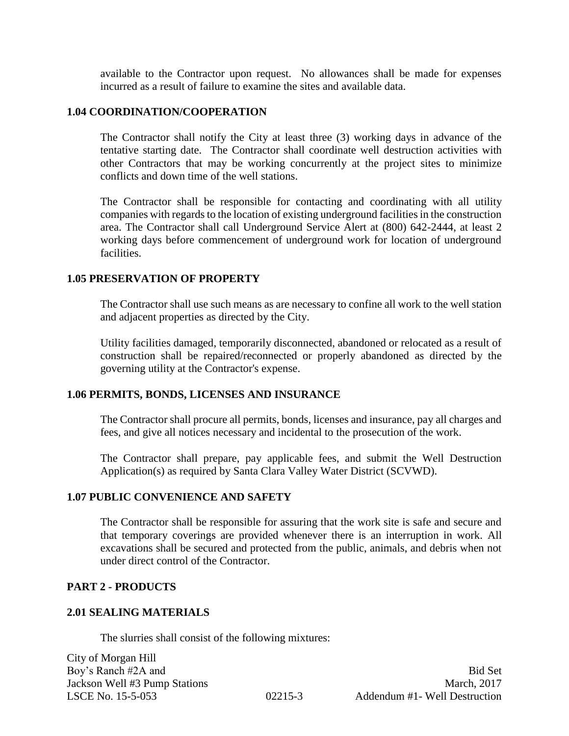available to the Contractor upon request. No allowances shall be made for expenses incurred as a result of failure to examine the sites and available data.

#### **1.04 COORDINATION/COOPERATION**

The Contractor shall notify the City at least three (3) working days in advance of the tentative starting date. The Contractor shall coordinate well destruction activities with other Contractors that may be working concurrently at the project sites to minimize conflicts and down time of the well stations.

The Contractor shall be responsible for contacting and coordinating with all utility companies with regards to the location of existing underground facilities in the construction area. The Contractor shall call Underground Service Alert at (800) 642-2444, at least 2 working days before commencement of underground work for location of underground facilities.

#### **1.05 PRESERVATION OF PROPERTY**

The Contractor shall use such means as are necessary to confine all work to the well station and adjacent properties as directed by the City.

Utility facilities damaged, temporarily disconnected, abandoned or relocated as a result of construction shall be repaired/reconnected or properly abandoned as directed by the governing utility at the Contractor's expense.

#### **1.06 PERMITS, BONDS, LICENSES AND INSURANCE**

The Contractor shall procure all permits, bonds, licenses and insurance, pay all charges and fees, and give all notices necessary and incidental to the prosecution of the work.

The Contractor shall prepare, pay applicable fees, and submit the Well Destruction Application(s) as required by Santa Clara Valley Water District (SCVWD).

#### **1.07 PUBLIC CONVENIENCE AND SAFETY**

The Contractor shall be responsible for assuring that the work site is safe and secure and that temporary coverings are provided whenever there is an interruption in work. All excavations shall be secured and protected from the public, animals, and debris when not under direct control of the Contractor.

#### **PART 2 - PRODUCTS**

#### **2.01 SEALING MATERIALS**

The slurries shall consist of the following mixtures:

City of Morgan Hill Boy's Ranch #2A and Bid Set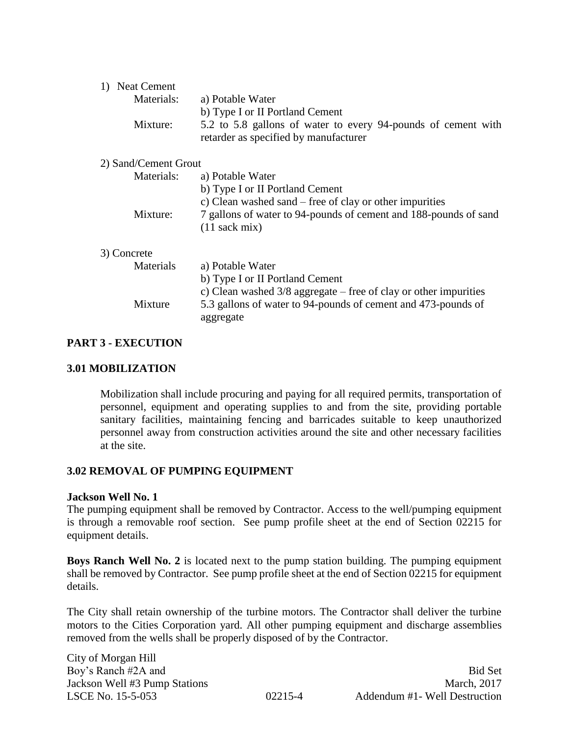| 1) Neat Cement       |                                                                                                        |
|----------------------|--------------------------------------------------------------------------------------------------------|
| Materials:           | a) Potable Water                                                                                       |
|                      | b) Type I or II Portland Cement                                                                        |
| Mixture:             | 5.2 to 5.8 gallons of water to every 94-pounds of cement with<br>retarder as specified by manufacturer |
| 2) Sand/Cement Grout |                                                                                                        |
| Materials:           | a) Potable Water                                                                                       |
|                      | b) Type I or II Portland Cement                                                                        |
|                      | c) Clean washed sand – free of clay or other impurities                                                |
| Mixture:             | 7 gallons of water to 94-pounds of cement and 188-pounds of sand                                       |
|                      | $(11 \text{ sack mix})$                                                                                |
| 3) Concrete          |                                                                                                        |
| Materials            | a) Potable Water                                                                                       |
|                      | b) Type I or II Portland Cement                                                                        |
|                      | c) Clean washed $3/8$ aggregate – free of clay or other impurities                                     |
| Mixture              | 5.3 gallons of water to 94-pounds of cement and 473-pounds of                                          |
|                      | aggregate                                                                                              |
|                      |                                                                                                        |

## **PART 3 - EXECUTION**

#### **3.01 MOBILIZATION**

Mobilization shall include procuring and paying for all required permits, transportation of personnel, equipment and operating supplies to and from the site, providing portable sanitary facilities, maintaining fencing and barricades suitable to keep unauthorized personnel away from construction activities around the site and other necessary facilities at the site.

#### **3.02 REMOVAL OF PUMPING EQUIPMENT**

#### **Jackson Well No. 1**

The pumping equipment shall be removed by Contractor. Access to the well/pumping equipment is through a removable roof section. See pump profile sheet at the end of Section 02215 for equipment details.

**Boys Ranch Well No. 2** is located next to the pump station building. The pumping equipment shall be removed by Contractor. See pump profile sheet at the end of Section 02215 for equipment details.

The City shall retain ownership of the turbine motors. The Contractor shall deliver the turbine motors to the Cities Corporation yard. All other pumping equipment and discharge assemblies removed from the wells shall be properly disposed of by the Contractor.

City of Morgan Hill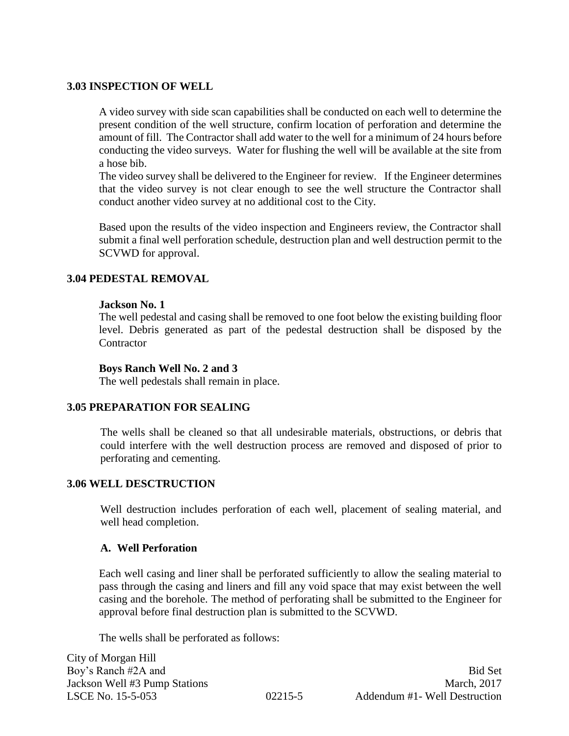## **3.03 INSPECTION OF WELL**

A video survey with side scan capabilities shall be conducted on each well to determine the present condition of the well structure, confirm location of perforation and determine the amount of fill. The Contractor shall add water to the well for a minimum of 24 hours before conducting the video surveys. Water for flushing the well will be available at the site from a hose bib.

The video survey shall be delivered to the Engineer for review. If the Engineer determines that the video survey is not clear enough to see the well structure the Contractor shall conduct another video survey at no additional cost to the City.

Based upon the results of the video inspection and Engineers review, the Contractor shall submit a final well perforation schedule, destruction plan and well destruction permit to the SCVWD for approval.

## **3.04 PEDESTAL REMOVAL**

#### **Jackson No. 1**

The well pedestal and casing shall be removed to one foot below the existing building floor level. Debris generated as part of the pedestal destruction shall be disposed by the **Contractor** 

#### **Boys Ranch Well No. 2 and 3**

The well pedestals shall remain in place.

#### **3.05 PREPARATION FOR SEALING**

The wells shall be cleaned so that all undesirable materials, obstructions, or debris that could interfere with the well destruction process are removed and disposed of prior to perforating and cementing.

#### **3.06 WELL DESCTRUCTION**

Well destruction includes perforation of each well, placement of sealing material, and well head completion.

#### **A. Well Perforation**

Each well casing and liner shall be perforated sufficiently to allow the sealing material to pass through the casing and liners and fill any void space that may exist between the well casing and the borehole. The method of perforating shall be submitted to the Engineer for approval before final destruction plan is submitted to the SCVWD.

The wells shall be perforated as follows:

City of Morgan Hill Boy's Ranch #2A and Bid Set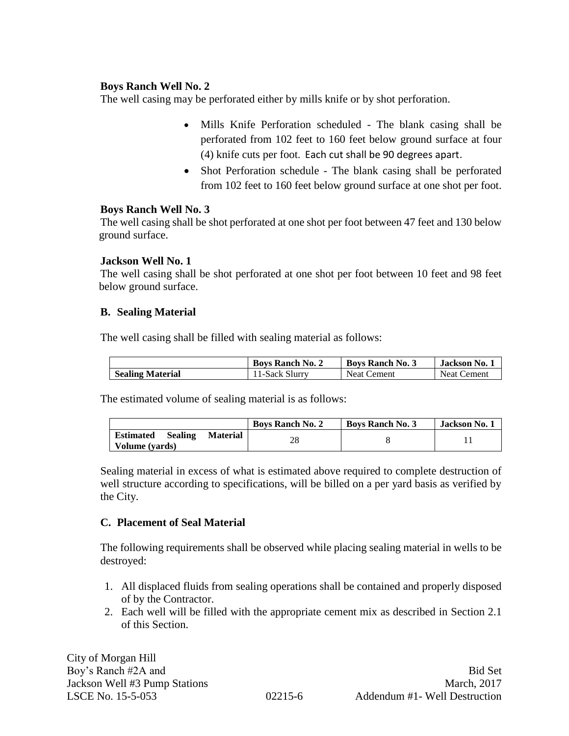## **Boys Ranch Well No. 2**

The well casing may be perforated either by mills knife or by shot perforation.

- Mills Knife Perforation scheduled The blank casing shall be perforated from 102 feet to 160 feet below ground surface at four (4) knife cuts per foot. Each cut shall be 90 degrees apart.
- Shot Perforation schedule The blank casing shall be perforated from 102 feet to 160 feet below ground surface at one shot per foot.

## **Boys Ranch Well No. 3**

The well casing shall be shot perforated at one shot per foot between 47 feet and 130 below ground surface.

## **Jackson Well No. 1**

The well casing shall be shot perforated at one shot per foot between 10 feet and 98 feet below ground surface.

## **B. Sealing Material**

The well casing shall be filled with sealing material as follows:

|                         | <b>Boys Ranch No. 2</b> | <b>Boys Ranch No. 3</b> | Jackson No.        |
|-------------------------|-------------------------|-------------------------|--------------------|
| <b>Sealing Material</b> | 11-Sack Slurry          | <b>Neat Cement</b>      | <b>Neat Cement</b> |

The estimated volume of sealing material is as follows:

|                                    |                 | <b>Boys Ranch No. 2</b> | <b>Boys Ranch No. 3</b> | <b>Jackson No. 1</b> |
|------------------------------------|-----------------|-------------------------|-------------------------|----------------------|
| <b>Estimated</b><br><b>Sealing</b> | <b>Material</b> | 28                      |                         |                      |
| Volume (vards)                     |                 |                         |                         |                      |

Sealing material in excess of what is estimated above required to complete destruction of well structure according to specifications, will be billed on a per yard basis as verified by the City.

#### **C. Placement of Seal Material**

The following requirements shall be observed while placing sealing material in wells to be destroyed:

- 1. All displaced fluids from sealing operations shall be contained and properly disposed of by the Contractor.
- 2. Each well will be filled with the appropriate cement mix as described in Section 2.1 of this Section.

City of Morgan Hill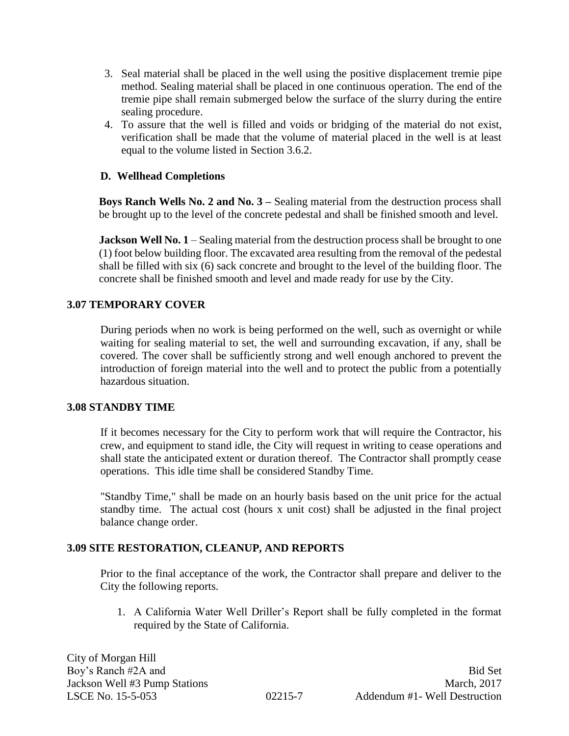- 3. Seal material shall be placed in the well using the positive displacement tremie pipe method. Sealing material shall be placed in one continuous operation. The end of the tremie pipe shall remain submerged below the surface of the slurry during the entire sealing procedure.
- 4. To assure that the well is filled and voids or bridging of the material do not exist, verification shall be made that the volume of material placed in the well is at least equal to the volume listed in Section 3.6.2.

## **D. Wellhead Completions**

**Boys Ranch Wells No. 2 and No. 3 –** Sealing material from the destruction process shall be brought up to the level of the concrete pedestal and shall be finished smooth and level.

**Jackson Well No. 1** – Sealing material from the destruction process shall be brought to one (1) foot below building floor. The excavated area resulting from the removal of the pedestal shall be filled with six (6) sack concrete and brought to the level of the building floor. The concrete shall be finished smooth and level and made ready for use by the City.

## **3.07 TEMPORARY COVER**

During periods when no work is being performed on the well, such as overnight or while waiting for sealing material to set, the well and surrounding excavation, if any, shall be covered. The cover shall be sufficiently strong and well enough anchored to prevent the introduction of foreign material into the well and to protect the public from a potentially hazardous situation.

#### **3.08 STANDBY TIME**

If it becomes necessary for the City to perform work that will require the Contractor, his crew, and equipment to stand idle, the City will request in writing to cease operations and shall state the anticipated extent or duration thereof. The Contractor shall promptly cease operations. This idle time shall be considered Standby Time.

"Standby Time," shall be made on an hourly basis based on the unit price for the actual standby time. The actual cost (hours x unit cost) shall be adjusted in the final project balance change order.

#### **3.09 SITE RESTORATION, CLEANUP, AND REPORTS**

Prior to the final acceptance of the work, the Contractor shall prepare and deliver to the City the following reports.

1. A California Water Well Driller's Report shall be fully completed in the format required by the State of California.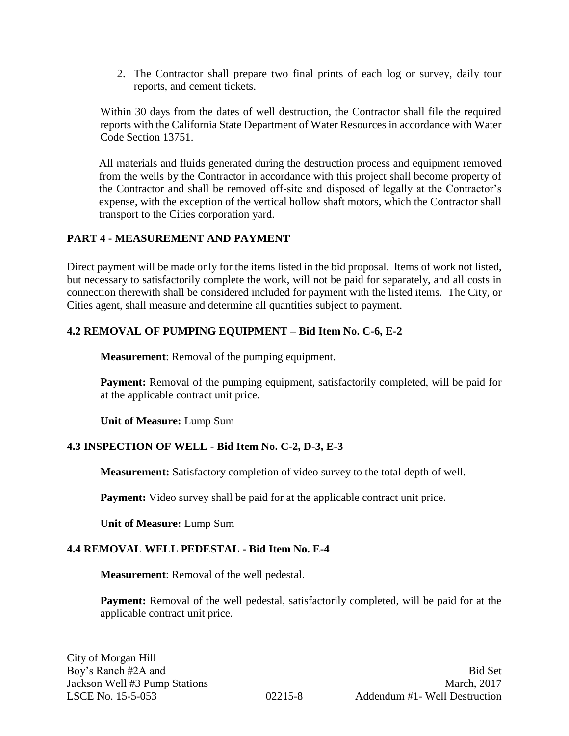2. The Contractor shall prepare two final prints of each log or survey, daily tour reports, and cement tickets.

Within 30 days from the dates of well destruction, the Contractor shall file the required reports with the California State Department of Water Resources in accordance with Water Code Section 13751.

All materials and fluids generated during the destruction process and equipment removed from the wells by the Contractor in accordance with this project shall become property of the Contractor and shall be removed off-site and disposed of legally at the Contractor's expense, with the exception of the vertical hollow shaft motors, which the Contractor shall transport to the Cities corporation yard.

## **PART 4 - MEASUREMENT AND PAYMENT**

Direct payment will be made only for the items listed in the bid proposal. Items of work not listed, but necessary to satisfactorily complete the work, will not be paid for separately, and all costs in connection therewith shall be considered included for payment with the listed items. The City, or Cities agent, shall measure and determine all quantities subject to payment.

## **4.2 REMOVAL OF PUMPING EQUIPMENT – Bid Item No. C-6, E-2**

**Measurement**: Removal of the pumping equipment.

**Payment:** Removal of the pumping equipment, satisfactorily completed, will be paid for at the applicable contract unit price.

**Unit of Measure:** Lump Sum

## **4.3 INSPECTION OF WELL - Bid Item No. C-2, D-3, E-3**

**Measurement:** Satisfactory completion of video survey to the total depth of well.

**Payment:** Video survey shall be paid for at the applicable contract unit price.

**Unit of Measure:** Lump Sum

## **4.4 REMOVAL WELL PEDESTAL - Bid Item No. E-4**

**Measurement**: Removal of the well pedestal.

**Payment:** Removal of the well pedestal, satisfactorily completed, will be paid for at the applicable contract unit price.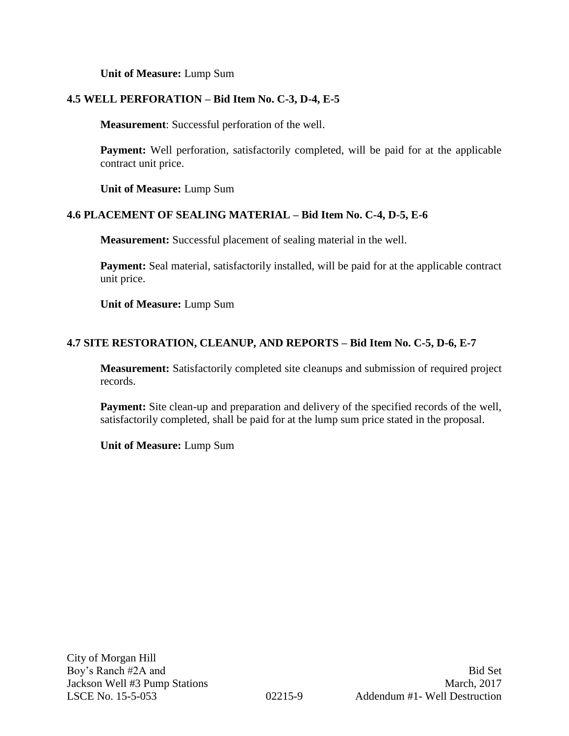**Unit of Measure:** Lump Sum

## **4.5 WELL PERFORATION – Bid Item No. C-3, D-4, E-5**

**Measurement**: Successful perforation of the well.

**Payment:** Well perforation, satisfactorily completed, will be paid for at the applicable contract unit price.

**Unit of Measure:** Lump Sum

## **4.6 PLACEMENT OF SEALING MATERIAL – Bid Item No. C-4, D-5, E-6**

**Measurement:** Successful placement of sealing material in the well.

**Payment:** Seal material, satisfactorily installed, will be paid for at the applicable contract unit price.

**Unit of Measure:** Lump Sum

## **4.7 SITE RESTORATION, CLEANUP, AND REPORTS – Bid Item No. C-5, D-6, E-7**

**Measurement:** Satisfactorily completed site cleanups and submission of required project records.

**Payment:** Site clean-up and preparation and delivery of the specified records of the well, satisfactorily completed, shall be paid for at the lump sum price stated in the proposal.

**Unit of Measure:** Lump Sum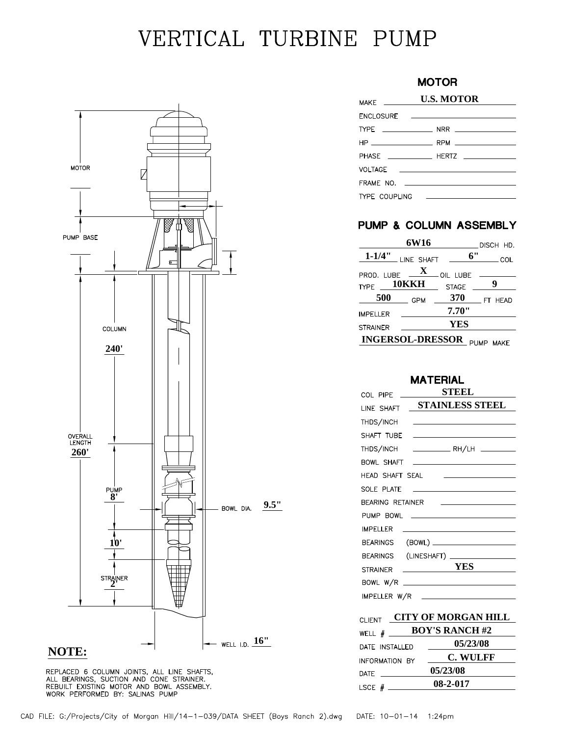# VERTICAL TURBINE PUMP



REPLACED 6 COLUMN JOINTS, ALL LINE SHAFTS,<br>ALL BEARINGS, SUCTION AND CONE STRAINER.<br>REBUILT EXISTING MOTOR AND BOWL ASSEMBLY.<br>WORK PERFORMED BY: SALINAS PUMP

## **MOTOR**

| <b>MAKF</b>      | <b>U.S. MOTOR</b>                                                                          |  |
|------------------|--------------------------------------------------------------------------------------------|--|
| <b>FNCLOSURF</b> | the contract of the contract of the contract of the contract of the contract of            |  |
|                  |                                                                                            |  |
|                  |                                                                                            |  |
|                  |                                                                                            |  |
|                  |                                                                                            |  |
|                  |                                                                                            |  |
| TYPE COUPLING    | the property of the control of the control of the control of the control of the control of |  |

## PUMP & COLUMN ASSEMBLY

|                 | 6W16                                        |              | DISCH HD.  |
|-----------------|---------------------------------------------|--------------|------------|
|                 | 1-1/4" LINE SHAFT                           | 6"           | $\_\_$ COL |
|                 | PROD. LUBE $\overline{\mathbf{X}}$ oil lube |              |            |
| $T YPE$ = 10KKH |                                             | <b>STAGE</b> | 9          |
| <b>500</b>      | <b>GPM</b>                                  | 370          | FT HEAD    |
| IMPFI I FR      |                                             | 7.70"        |            |
| <b>STRAINER</b> |                                             | <b>YES</b>   |            |
|                 | <b>INGERSOL-DRESSOR</b>                     |              | PUMP MAKE  |

#### **MATERIAL**

| COL PIPE              | STEEL                                                                                                                 |  |
|-----------------------|-----------------------------------------------------------------------------------------------------------------------|--|
| LINE SHAFT            | <b>STAINLESS STEEL</b>                                                                                                |  |
| THDS/INCH             |                                                                                                                       |  |
| SHAFT TUBE            | <u> 1989 - Johann Barn, mars ann an t-Amhain an t-Amhain an t-Amhain an t-Amhain an t-Amhain an t-Amhain an t-Amh</u> |  |
| THDS/INCH             |                                                                                                                       |  |
| <b>BOWL SHAFT</b>     | <u> 1988 - Andrea State Barbara, amerikan personal di sebagai personal di sebagai personal di sebagai personal di</u> |  |
| HEAD SHAFT SEAL       | <u>state and the state of the state of the state</u>                                                                  |  |
| SOLE PLATE            | the property of the control of the control of the                                                                     |  |
| BEARING RETAINER      | <u> 1989 - Andrea Station Barbara, amerikan per</u>                                                                   |  |
|                       |                                                                                                                       |  |
| <b>IMPELLER</b>       |                                                                                                                       |  |
|                       | BEARINGS (BOWL) _______________________                                                                               |  |
|                       |                                                                                                                       |  |
| <b>STRAINER</b>       | $\frac{\text{YES}}{\text{YES}}$                                                                                       |  |
|                       |                                                                                                                       |  |
|                       | IMPELLER W/R <u>______________________</u>                                                                            |  |
| VY AR MADA (AV IIII I |                                                                                                                       |  |

| <b>CLIENT</b>   | <b>CITY OF MORGAN HILL</b> |                |  |
|-----------------|----------------------------|----------------|--|
|                 | WELL # BOY'S RANCH #2      |                |  |
| DATE INSTALLED  |                            | 05/23/08       |  |
| INFORMATION BY  |                            | C. WULFF       |  |
| <b>DATE</b>     |                            | 05/23/08       |  |
| LSCE $#$ $\_\_$ |                            | $08 - 2 - 017$ |  |